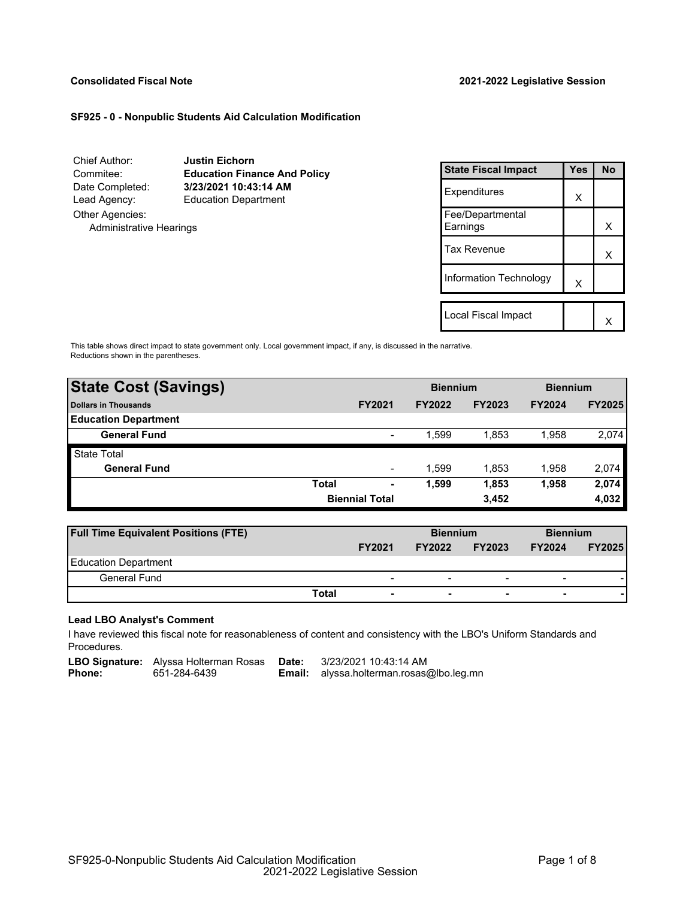#### **Consolidated Fiscal Note 2021-2022 Legislative Session**

#### **SF925 - 0 - Nonpublic Students Aid Calculation Modification**

Chief Author: **Justin Eichorn** Commitee: **Education Finance And Policy** Date Completed: **3/23/2021 10:43:14 AM** Lead Agency: Education Department Other Agencies: Administrative Hearings

| <b>State Fiscal Impact</b>   | <b>Yes</b> | N٥ |
|------------------------------|------------|----|
| Expenditures                 | x          |    |
| Fee/Departmental<br>Earnings |            | х  |
| Tax Revenue                  |            | x  |
| Information Technology       | x          |    |
|                              |            |    |
| Local Fiscal Impact          |            |    |

This table shows direct impact to state government only. Local government impact, if any, is discussed in the narrative. Reductions shown in the parentheses.

| <b>State Cost (Savings)</b> |              | <b>Biennium</b>          |               | <b>Biennium</b> |               |               |
|-----------------------------|--------------|--------------------------|---------------|-----------------|---------------|---------------|
| <b>Dollars in Thousands</b> |              | <b>FY2021</b>            | <b>FY2022</b> | <b>FY2023</b>   | <b>FY2024</b> | <b>FY2025</b> |
| <b>Education Department</b> |              |                          |               |                 |               |               |
| <b>General Fund</b>         |              | $\overline{\phantom{a}}$ | 1.599         | 1.853           | 1,958         | 2.074         |
| <b>State Total</b>          |              |                          |               |                 |               |               |
| <b>General Fund</b>         |              | $\overline{\phantom{a}}$ | 1.599         | 1,853           | 1,958         | 2,074         |
|                             | <b>Total</b> | ٠                        | 1,599         | 1,853           | 1,958         | 2,074         |
|                             |              | <b>Biennial Total</b>    |               | 3,452           |               | 4,032         |

| <b>Full Time Equivalent Positions (FTE)</b> |                                   | <b>Biennium</b>                |                          | <b>Biennium</b>          |               |
|---------------------------------------------|-----------------------------------|--------------------------------|--------------------------|--------------------------|---------------|
|                                             | <b>FY2021</b>                     | <b>FY2023</b><br><b>FY2022</b> |                          | <b>FY2024</b>            | <b>FY2025</b> |
| Education Department                        |                                   |                                |                          |                          |               |
| General Fund                                | $\overline{\phantom{0}}$          | -                              | $\overline{\phantom{0}}$ | $\overline{\phantom{0}}$ |               |
|                                             | Total<br>$\overline{\phantom{0}}$ | ۰                              | $\overline{\phantom{0}}$ | $\overline{\phantom{0}}$ |               |

#### **Lead LBO Analyst's Comment**

-

I have reviewed this fiscal note for reasonableness of content and consistency with the LBO's Uniform Standards and Procedures.

**LBO Signature:** Alyssa Holterman Rosas **Date:** 3/23/2021 10:43:14 AM<br>**Phone:** 651-284-6439 **Email:** alyssa.holterman.rosas

**Phone:** 651-284-6439 ----**Email:** alyssa.holterman.rosas@lbo.leg.mn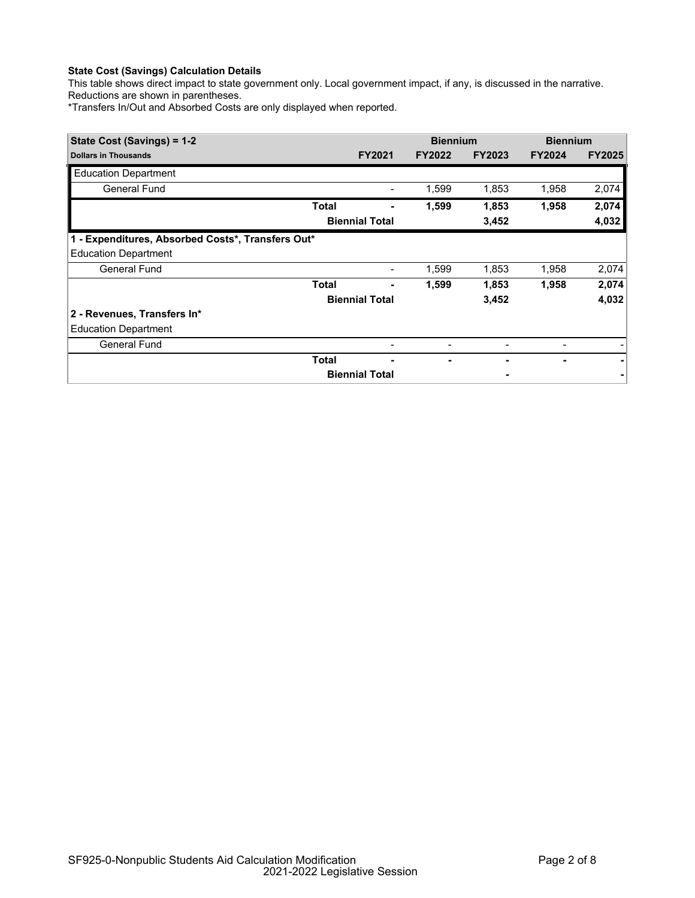# **State Cost (Savings) Calculation Details**

This table shows direct impact to state government only. Local government impact, if any, is discussed in the narrative. Reductions are shown in parentheses.

\*Transfers In/Out and Absorbed Costs are only displayed when reported.

| State Cost (Savings) = 1-2                        |              | <b>Biennium</b>       |               | <b>Biennium</b> |                |               |
|---------------------------------------------------|--------------|-----------------------|---------------|-----------------|----------------|---------------|
| <b>Dollars in Thousands</b>                       |              | <b>FY2021</b>         | <b>FY2022</b> | <b>FY2023</b>   | <b>FY2024</b>  | <b>FY2025</b> |
| <b>Education Department</b>                       |              |                       |               |                 |                |               |
| General Fund                                      |              |                       | 1,599         | 1,853           | 1,958          | 2,074         |
|                                                   | <b>Total</b> |                       | 1,599         | 1,853           | 1,958          | 2,074         |
|                                                   |              | <b>Biennial Total</b> |               | 3,452           |                | 4,032         |
| 1 - Expenditures, Absorbed Costs*, Transfers Out* |              |                       |               |                 |                |               |
| <b>Education Department</b>                       |              |                       |               |                 |                |               |
| General Fund                                      |              | $\blacksquare$        | 1,599         | 1,853           | 1,958          | 2,074         |
|                                                   | <b>Total</b> |                       | 1,599         | 1,853           | 1,958          | 2,074         |
|                                                   |              | <b>Biennial Total</b> |               | 3,452           |                | 4,032         |
| 2 - Revenues, Transfers In*                       |              |                       |               |                 |                |               |
| <b>Education Department</b>                       |              |                       |               |                 |                |               |
| General Fund                                      |              |                       |               |                 |                |               |
|                                                   | <b>Total</b> | -                     |               |                 | $\blacksquare$ |               |
|                                                   |              | <b>Biennial Total</b> |               |                 |                |               |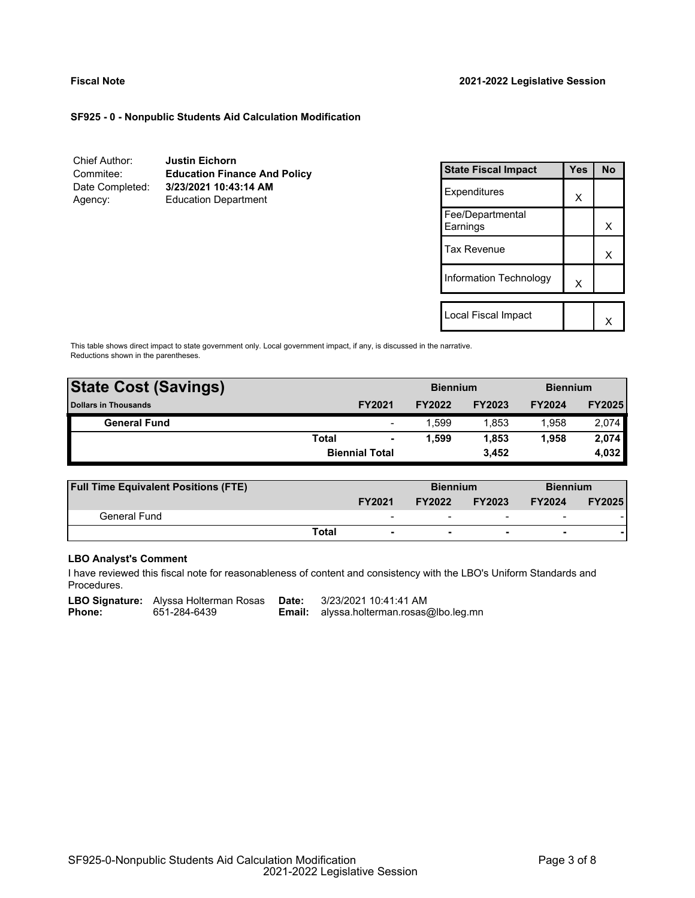#### **SF925 - 0 - Nonpublic Students Aid Calculation Modification**

| Chief Author:   | <b>Justin Eichorn</b>               |
|-----------------|-------------------------------------|
| Commitee:       | <b>Education Finance And Policy</b> |
| Date Completed: | 3/23/2021 10:43:14 AM               |
| Agency:         | <b>Education Department</b>         |

| <b>State Fiscal Impact</b>   | Yes | <b>No</b> |
|------------------------------|-----|-----------|
| Expenditures                 | x   |           |
| Fee/Departmental<br>Earnings |     | x         |
| <b>Tax Revenue</b>           |     | x         |
| Information Technology       | X   |           |
| Local Fiscal Impact          |     |           |
|                              |     |           |

This table shows direct impact to state government only. Local government impact, if any, is discussed in the narrative. Reductions shown in the parentheses.

| <b>State Cost (Savings)</b> |              | <b>Biennium</b>          |               |               | <b>Biennium</b> |               |
|-----------------------------|--------------|--------------------------|---------------|---------------|-----------------|---------------|
| <b>Dollars in Thousands</b> |              | <b>FY2021</b>            | <b>FY2022</b> | <b>FY2023</b> | <b>FY2024</b>   | <b>FY2025</b> |
| <b>General Fund</b>         |              | $\overline{\phantom{0}}$ | 1.599         | 1.853         | 1.958           | 2,074         |
|                             | <b>Total</b> | $\blacksquare$           | 1.599         | 1,853         | 1.958           | 2,074         |
|                             |              | <b>Biennial Total</b>    |               | 3.452         |                 | 4,032         |
|                             |              |                          |               |               |                 |               |

| <b>Full Time Equivalent Positions (FTE)</b> |                          | <b>Biennium</b> |                          |                          |               |  | <b>Biennium</b> |
|---------------------------------------------|--------------------------|-----------------|--------------------------|--------------------------|---------------|--|-----------------|
|                                             | <b>FY2021</b>            | <b>FY2022</b>   | <b>FY2023</b>            | <b>FY2024</b>            | <b>FY2025</b> |  |                 |
| General Fund                                | $\overline{\phantom{0}}$ | -               | $\overline{\phantom{0}}$ | $\overline{\phantom{0}}$ |               |  |                 |
|                                             | Total                    |                 |                          |                          |               |  |                 |

# **LBO Analyst's Comment**

I have reviewed this fiscal note for reasonableness of content and consistency with the LBO's Uniform Standards and Procedures.

**LBO Signature:** Alyssa Holterman Rosas **Date:** 3/23/2021 10:41:41 AM<br>**Phone:** 651-284-6439 **Email:** alyssa.holterman.rosas

**Email:** alyssa.holterman.rosas@lbo.leg.mn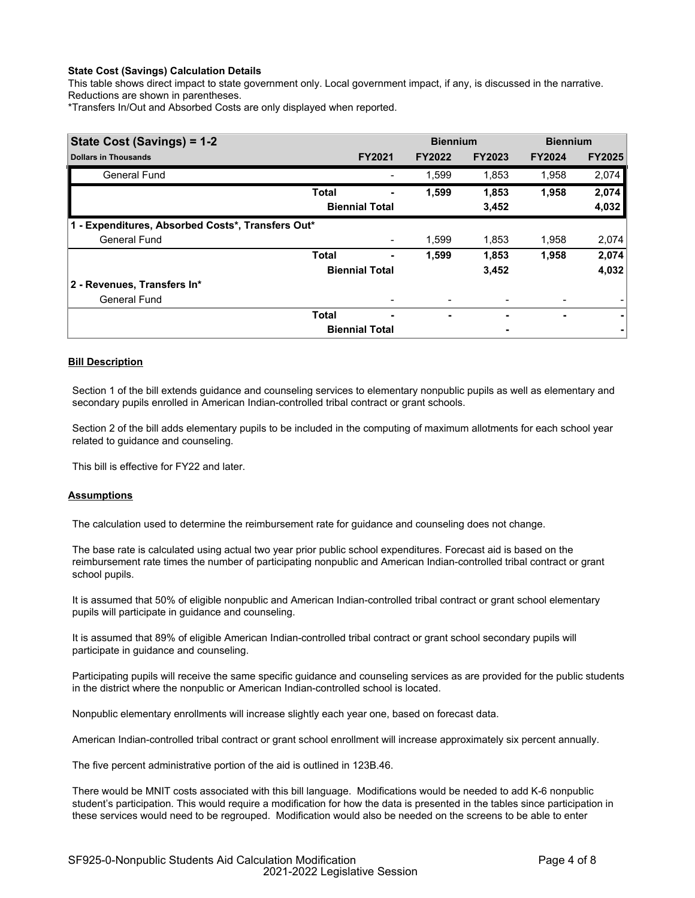## **State Cost (Savings) Calculation Details**

This table shows direct impact to state government only. Local government impact, if any, is discussed in the narrative. Reductions are shown in parentheses.

\*Transfers In/Out and Absorbed Costs are only displayed when reported.

| State Cost (Savings) = 1-2                        |              |                       | <b>Biennium</b> |               | <b>Biennium</b> |               |
|---------------------------------------------------|--------------|-----------------------|-----------------|---------------|-----------------|---------------|
| <b>Dollars in Thousands</b>                       |              | <b>FY2021</b>         | <b>FY2022</b>   | <b>FY2023</b> | <b>FY2024</b>   | <b>FY2025</b> |
| <b>General Fund</b>                               |              |                       | 1,599           | 1,853         | 1,958           | 2,074         |
|                                                   | <b>Total</b> |                       | 1,599           | 1,853         | 1,958           | 2,074         |
|                                                   |              | <b>Biennial Total</b> |                 | 3,452         |                 | 4,032         |
| 1 - Expenditures, Absorbed Costs*, Transfers Out* |              |                       |                 |               |                 |               |
| <b>General Fund</b>                               |              | -                     | 1.599           | 1,853         | 1,958           | 2,074         |
|                                                   | <b>Total</b> | ٠                     | 1,599           | 1,853         | 1,958           | 2,074         |
|                                                   |              | <b>Biennial Total</b> |                 | 3,452         |                 | 4,032         |
| 2 - Revenues, Transfers In*                       |              |                       |                 |               |                 |               |
| <b>General Fund</b>                               |              |                       |                 |               |                 |               |
|                                                   | <b>Total</b> | -                     | ٠               | ٠             | ٠               | ۰             |
|                                                   |              | <b>Biennial Total</b> |                 |               |                 |               |

## **Bill Description**

Section 1 of the bill extends guidance and counseling services to elementary nonpublic pupils as well as elementary and secondary pupils enrolled in American Indian-controlled tribal contract or grant schools.

Section 2 of the bill adds elementary pupils to be included in the computing of maximum allotments for each school year related to guidance and counseling.

This bill is effective for FY22 and later.

#### **Assumptions**

The calculation used to determine the reimbursement rate for guidance and counseling does not change.

The base rate is calculated using actual two year prior public school expenditures. Forecast aid is based on the reimbursement rate times the number of participating nonpublic and American Indian-controlled tribal contract or grant school pupils.

It is assumed that 50% of eligible nonpublic and American Indian-controlled tribal contract or grant school elementary pupils will participate in guidance and counseling.

It is assumed that 89% of eligible American Indian-controlled tribal contract or grant school secondary pupils will participate in guidance and counseling.

Participating pupils will receive the same specific guidance and counseling services as are provided for the public students in the district where the nonpublic or American Indian-controlled school is located.

Nonpublic elementary enrollments will increase slightly each year one, based on forecast data.

American Indian-controlled tribal contract or grant school enrollment will increase approximately six percent annually.

The five percent administrative portion of the aid is outlined in 123B.46.

There would be MNIT costs associated with this bill language. Modifications would be needed to add K-6 nonpublic student's participation. This would require a modification for how the data is presented in the tables since participation in these services would need to be regrouped. Modification would also be needed on the screens to be able to enter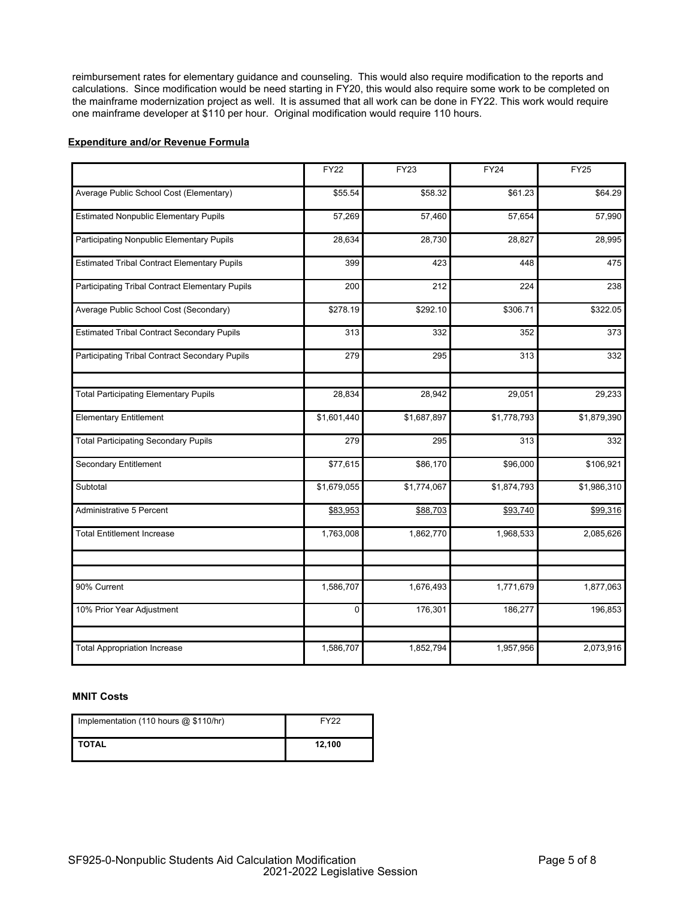reimbursement rates for elementary guidance and counseling. This would also require modification to the reports and calculations. Since modification would be need starting in FY20, this would also require some work to be completed on the mainframe modernization project as well. It is assumed that all work can be done in FY22. This work would require one mainframe developer at \$110 per hour. Original modification would require 110 hours.

### **Expenditure and/or Revenue Formula**

|                                                    | <b>FY22</b> | <b>FY23</b> | <b>FY24</b> | <b>FY25</b> |
|----------------------------------------------------|-------------|-------------|-------------|-------------|
| Average Public School Cost (Elementary)            | \$55.54     | \$58.32     | \$61.23     | \$64.29     |
| <b>Estimated Nonpublic Elementary Pupils</b>       | 57,269      | 57,460      | 57,654      | 57,990      |
| Participating Nonpublic Elementary Pupils          | 28,634      | 28,730      | 28,827      | 28,995      |
| <b>Estimated Tribal Contract Elementary Pupils</b> | 399         | 423         | 448         | 475         |
| Participating Tribal Contract Elementary Pupils    | 200         | 212         | 224         | 238         |
| Average Public School Cost (Secondary)             | \$278.19    | \$292.10    | \$306.71    | \$322.05    |
| <b>Estimated Tribal Contract Secondary Pupils</b>  | 313         | 332         | 352         | 373         |
| Participating Tribal Contract Secondary Pupils     | 279         | 295         | 313         | 332         |
| <b>Total Participating Elementary Pupils</b>       | 28,834      | 28,942      | 29,051      | 29,233      |
| <b>Elementary Entitlement</b>                      | \$1,601,440 | \$1,687,897 | \$1,778,793 | \$1,879,390 |
| <b>Total Participating Secondary Pupils</b>        | 279         | 295         | 313         | 332         |
| <b>Secondary Entitlement</b>                       | \$77,615    | \$86,170    | \$96,000    | \$106,921   |
| Subtotal                                           | \$1,679,055 | \$1,774,067 | \$1,874,793 | \$1,986,310 |
| Administrative 5 Percent                           | \$83,953    | \$88,703    | \$93,740    | \$99,316    |
| <b>Total Entitlement Increase</b>                  | 1,763,008   | 1,862,770   | 1,968,533   | 2,085,626   |
|                                                    |             |             |             |             |
| 90% Current                                        | 1,586,707   | 1,676,493   | 1,771,679   | 1,877,063   |
| 10% Prior Year Adjustment                          | 0           | 176,301     | 186,277     | 196,853     |
| <b>Total Appropriation Increase</b>                | 1,586,707   | 1,852,794   | 1,957,956   | 2,073,916   |

#### **MNIT Costs**

| Implementation (110 hours $@$ \$110/hr) | <b>FY22</b> |
|-----------------------------------------|-------------|
| I TOTAL                                 | 12.100      |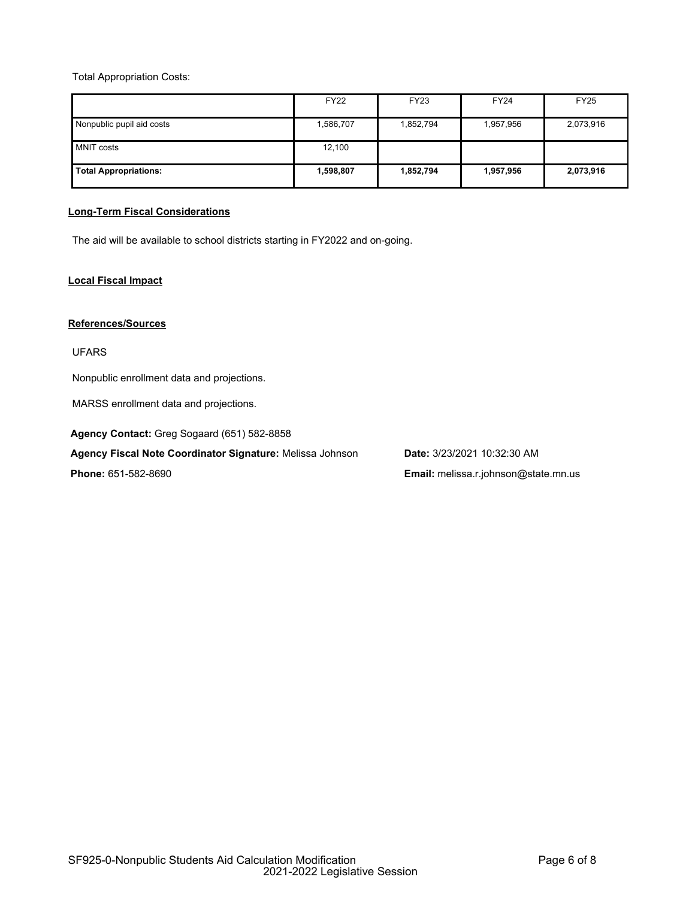Total Appropriation Costs:

|                              | <b>FY22</b> | <b>FY23</b> | <b>FY24</b> | <b>FY25</b> |
|------------------------------|-------------|-------------|-------------|-------------|
| Nonpublic pupil aid costs    | 1,586,707   | 1,852,794   | 1,957,956   | 2,073,916   |
| <b>MNIT costs</b>            | 12,100      |             |             |             |
| <b>Total Appropriations:</b> | 1,598,807   | 1,852,794   | 1,957,956   | 2,073,916   |

# **Long-Term Fiscal Considerations**

The aid will be available to school districts starting in FY2022 and on-going.

# **Local Fiscal Impact**

### **References/Sources**

UFARS

Nonpublic enrollment data and projections.

MARSS enrollment data and projections.

**Agency Contact:** Greg Sogaard (651) 582-8858

**Agency Fiscal Note Coordinator Signature:** Melissa Johnson **Date:** 3/23/2021 10:32:30 AM

**Phone:** 651-582-8690 **Email:** melissa.r.johnson@state.mn.us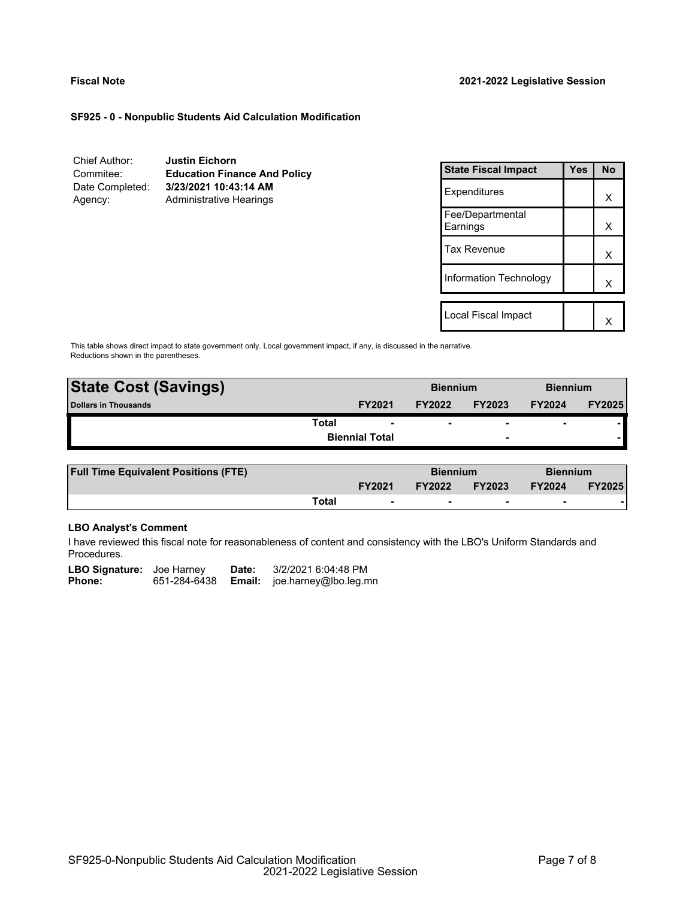# **SF925 - 0 - Nonpublic Students Aid Calculation Modification**

| Chief Author:   | <b>Justin Eichorn</b>               |
|-----------------|-------------------------------------|
| Commitee:       | <b>Education Finance And Policy</b> |
| Date Completed: | 3/23/2021 10:43:14 AM               |
| Agency:         | <b>Administrative Hearings</b>      |

| <b>State Fiscal Impact</b>   | Yes | <b>No</b> |
|------------------------------|-----|-----------|
| Expenditures                 |     | x         |
| Fee/Departmental<br>Earnings |     | x         |
| <b>Tax Revenue</b>           |     | x         |
| Information Technology       |     | x         |
|                              |     |           |
| Local Fiscal Impact          |     |           |

This table shows direct impact to state government only. Local government impact, if any, is discussed in the narrative. Reductions shown in the parentheses.

| <b>State Cost (Savings)</b> |                       | <b>Biennium</b> |                          | <b>Biennium</b>          |               |
|-----------------------------|-----------------------|-----------------|--------------------------|--------------------------|---------------|
| Dollars in Thousands        | <b>FY2021</b>         | <b>FY2022</b>   | <b>FY2023</b>            | <b>FY2024</b>            | <b>FY2025</b> |
| Total                       |                       |                 | $\overline{\phantom{0}}$ | $\overline{\phantom{0}}$ |               |
|                             | <b>Biennial Total</b> |                 | $\overline{\phantom{0}}$ |                          |               |
|                             |                       |                 |                          |                          |               |

| <b>Full Time Equivalent Positions (FTE)</b> |       |                          | <b>Biennium</b> |                          | <b>Biennium</b> |               |
|---------------------------------------------|-------|--------------------------|-----------------|--------------------------|-----------------|---------------|
|                                             |       | <b>FY2021</b>            | <b>FY2022</b>   | <b>FY2023</b>            | <b>FY2024</b>   | <b>FY2025</b> |
|                                             | Total | $\overline{\phantom{0}}$ |                 | $\overline{\phantom{0}}$ |                 |               |

# **LBO Analyst's Comment**

I have reviewed this fiscal note for reasonableness of content and consistency with the LBO's Uniform Standards and Procedures.

| <b>LBO Signature:</b> Joe Harney |              | Date: | 3/2/2021 6:04:48 PM                 |
|----------------------------------|--------------|-------|-------------------------------------|
| <b>Phone:</b>                    | 651-284-6438 |       | <b>Email:</b> joe.harney@lbo.leg.mn |